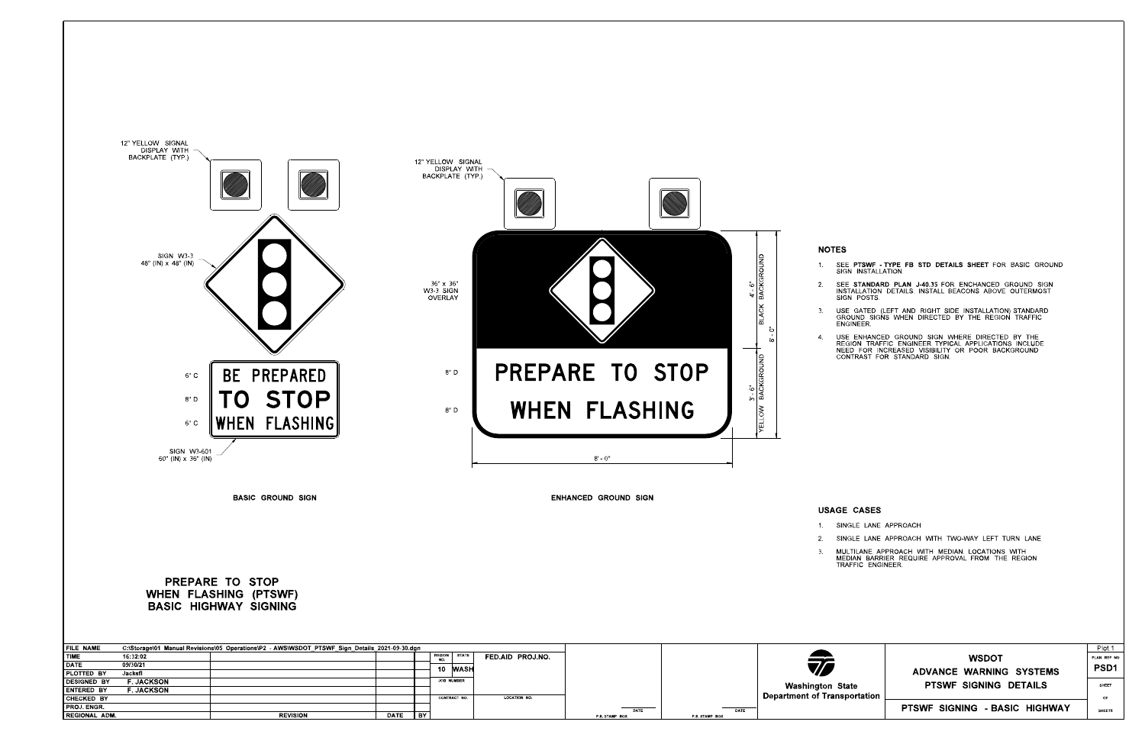3. MULTILANE APPROACH WITH MEDIAN. LOCATIONS WITH<br>MEDIAN BARRIER REQUIRE APPROVAL FROM THE REGION<br>TRAFFIC ENGINEER. 2. SINGLE LANE APPROACH WITH TWO-WAY LEFT TURN LANE

| <b>FILE NAME</b>     |                  | C:\Storage\01_Manual Revisions\05_Operations\P2_-AWS\WSDOT_PTSWF_Sign_Details_2021-09-30.dgn |      |    |               |                   |                     |                |                |                                     |
|----------------------|------------------|----------------------------------------------------------------------------------------------|------|----|---------------|-------------------|---------------------|----------------|----------------|-------------------------------------|
| <b>TIME</b>          | 16.32.02         |                                                                                              |      |    | <b>REGION</b> | <b>STATE</b>      | FED AID PROJ NO     |                |                |                                     |
| <b>DATE</b>          | 09/30/21         |                                                                                              |      |    | 10            | <b>WASH</b>       |                     |                |                | 70                                  |
| <b>PLOTTED BY</b>    | Jacksfl          |                                                                                              |      |    |               |                   |                     |                |                |                                     |
| DESIGNED BY          | <b>F JACKSON</b> |                                                                                              |      |    |               | <b>JOB NUMBER</b> |                     |                |                |                                     |
| <b>LENTERED BY</b>   | <b>F JACKSON</b> |                                                                                              |      |    |               |                   |                     |                |                | <b>Washington State</b>             |
| CHECKED BY           |                  |                                                                                              |      |    |               | CONTRACT NO.      | <b>LOCATION NO.</b> |                |                | <b>Department of Transportation</b> |
| <b>PROJ ENGR.</b>    |                  |                                                                                              |      |    |               |                   |                     | <b>DATE</b>    | DATE           |                                     |
| <b>REGIONAL ADM.</b> |                  | <b>REVISION</b>                                                                              | DATE | BY |               |                   |                     | P.E. STAMP BOX | P.E. STAMP BOX |                                     |

1. SEE PTSWF TYPE FB STD DETAILS SHEET FOR BASIC GROUND SIGN INSTALLATION.



STANDARD PLAN J-40.35 2. SEE **STANDARD PLAN J-40.35** FOR ENCHANCED GROUND SIGN<br>INSTALLATION DETAILS. INSTALL BEACONS ABOVE OUTERMOST<br>SIGN POSTS.

3. USE GATED (LEFT AND RIGHT SIDE INSTALLATION) STANDARD<br>GROUND SIGNS WHEN DIRECTED BY THE REGION TRAFFIC<br>ENGINEER.

4. USE ENHANCED GROUND SIGN WHERE DIRECTED BY THE<br>REGION TRAFFIC ENGINEER TYPICAL APPLICATIONS INCLUDE<br>NEED FOR INCREASED VISIBILITY OR POOR BACKGROUND<br>CONTRAST FOR STANDARD SIGN.

|                     | <b>WSDOT</b><br>ADVANCE WARNING SYSTEMS | Plot 1<br>PLAN REF NO<br><b>PSD1</b> |
|---------------------|-----------------------------------------|--------------------------------------|
| State<br>sportation | PTSWE SIGNING DETAILS                   | <b>SHEET</b><br>OF                   |
|                     | PTSWF SIGNING - BASIC HIGHWAY           | <b>SHEETS</b>                        |

## USAGE CASES

1. SINGLE LANE APPROACH

# BASIC HIGHWAY SIGNING WHEN FLASHING (PTSWF) PREPARE TO STOP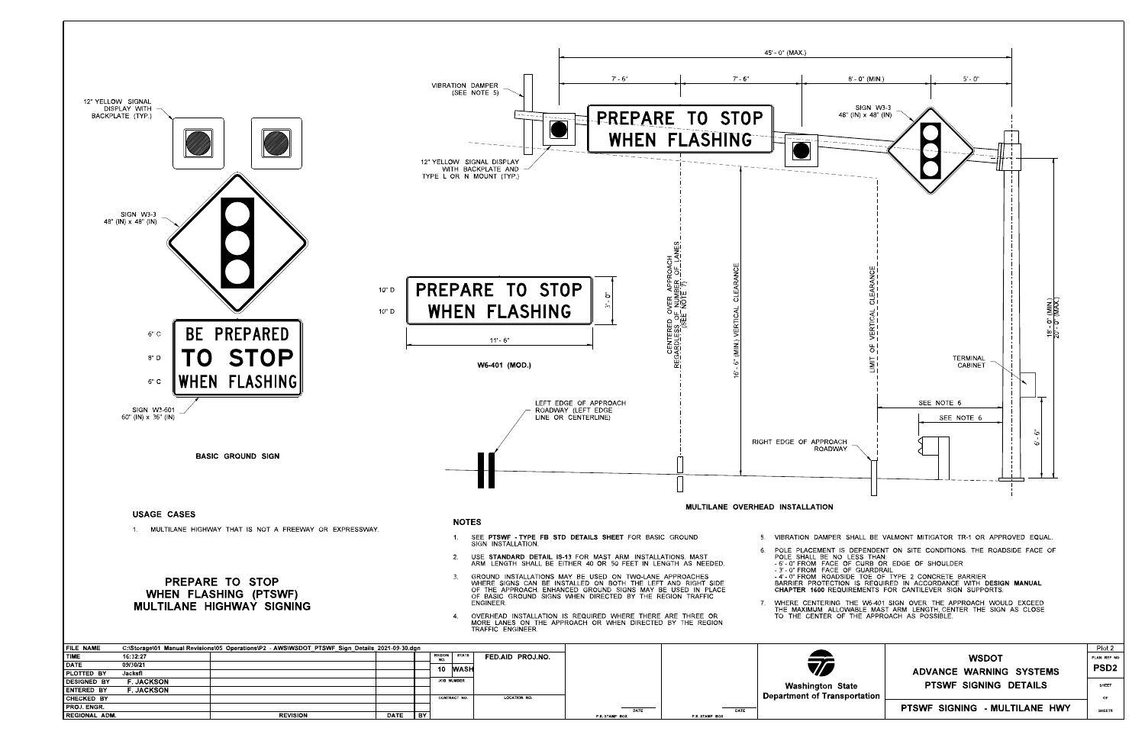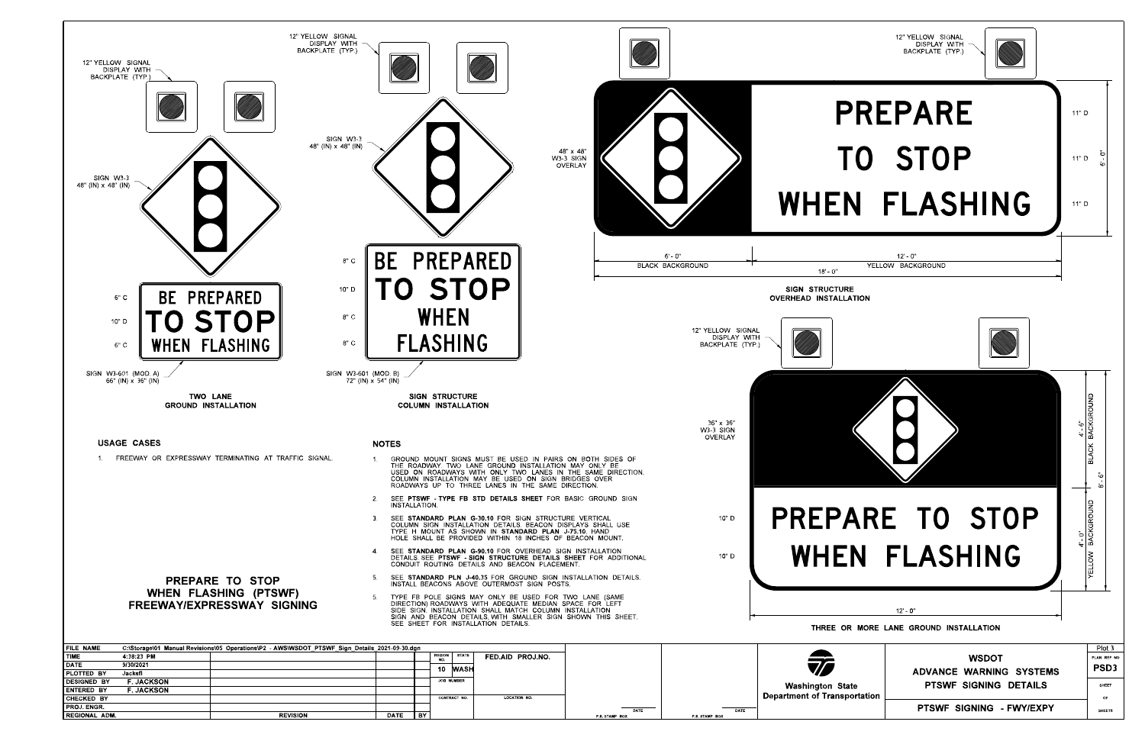![](_page_2_Figure_0.jpeg)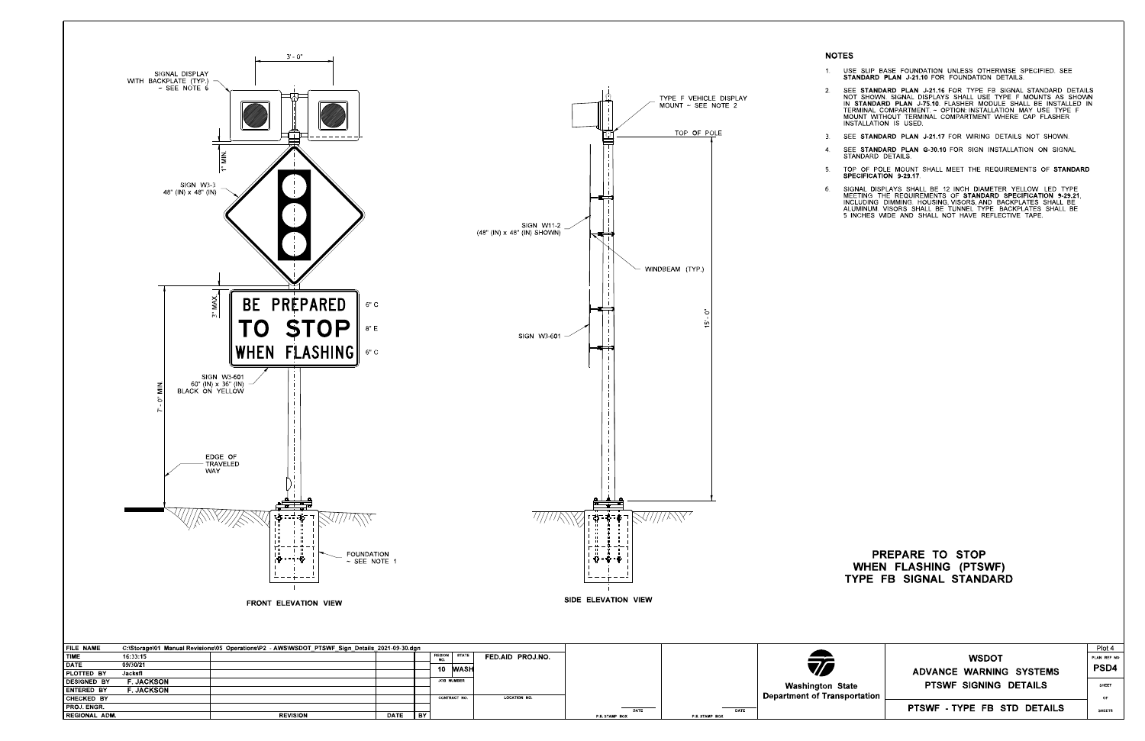PROJ. ENGR.

REGIONAL ADM. REVISION DATE BY

1. USE SLIP BASE FOUNDATION UNLESS OTHERWISE SPECIFIED. SEE<br>STANDARD PLAN J-21.10 FOR FOUNDATION DETAILS.

STANDARD SPECIFICATION 9-29.21 6. SIGNAL DISPLAYS SHALL BE 12 INCH DIAMETER YELLOW LED TYPE<br>MEETING THE REQUIREMENTS OF **STANDARD SPECIFICATION 9-29.21**,<br>INCLUDING DIMMING. HOUSING, VISORS, AND BACKPLATES SHALL BE<br>ALUMINUM. VISORS SHALL BE TUNNEL TYPE.

STANDARD PLAN J-75.10 STANDARD PLAN J-21.16 INSTALLATION IS USED. 2. SEE STANDARD PLAN J-21.16 FOR TYPE FB SIGNAL STANDARD DETAILS<br>NOT SHOWN. SIGNAL DISPLAYS SHALL USE TYPE F MOUNTS AS SHOWN<br>IN STANDARD PLAN J-75.10. FLASHER MODULE SHALL BE INSTALLED IN<br>TERMINAL COMPARTMENT.~ OPTION: INS

3. SEE STANDARD PLAN J-21.17 FOR WIRING DETAILS NOT SHOWN.

4. SEE STANDARD PLAN G-30.10 FOR SIGN INSTALLATION ON SIGNAL STANDARD DETAILS

5. TOP OF POLE MOUNT SHALL MEET THE REQUIREMENTS OF STANDARD<br>SPECIFICATION 9-29.17.

![](_page_3_Figure_0.jpeg)

P.E. STAMP BOX P.E. STAMP BOX

DATE BATE

# TYPE FB SIGNAL STANDARD WHEN FLASHING (PTSWF) PREPARE TO STOP

|            |                              | Plot 4        |
|------------|------------------------------|---------------|
|            | <b>WSDOT</b>                 | PLAN REF NO   |
|            | ADVANCE WARNING SYSTEMS      | PSD4          |
| State      | <b>PTSWF SIGNING DETAILS</b> | <b>SHEET</b>  |
| sportation |                              | OF            |
|            | PTSWF TYPE FB STD DETAILS    | <b>SHEETS</b> |